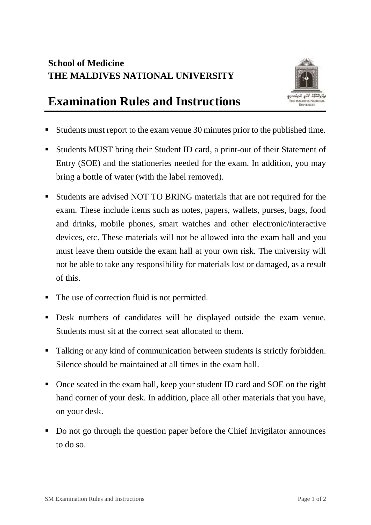## **School of Medicine THE MALDIVES NATIONAL UNIVERSITY**



## **Examination Rules and Instructions**

- Students must report to the exam venue 30 minutes prior to the published time.
- Students MUST bring their Student ID card, a print-out of their Statement of Entry (SOE) and the stationeries needed for the exam. In addition, you may bring a bottle of water (with the label removed).
- Students are advised NOT TO BRING materials that are not required for the exam. These include items such as notes, papers, wallets, purses, bags, food and drinks, mobile phones, smart watches and other electronic/interactive devices, etc. These materials will not be allowed into the exam hall and you must leave them outside the exam hall at your own risk. The university will not be able to take any responsibility for materials lost or damaged, as a result of this.
- The use of correction fluid is not permitted.
- Desk numbers of candidates will be displayed outside the exam venue. Students must sit at the correct seat allocated to them.
- Talking or any kind of communication between students is strictly forbidden. Silence should be maintained at all times in the exam hall.
- Once seated in the exam hall, keep your student ID card and SOE on the right hand corner of your desk. In addition, place all other materials that you have, on your desk.
- Do not go through the question paper before the Chief Invigilator announces to do so.